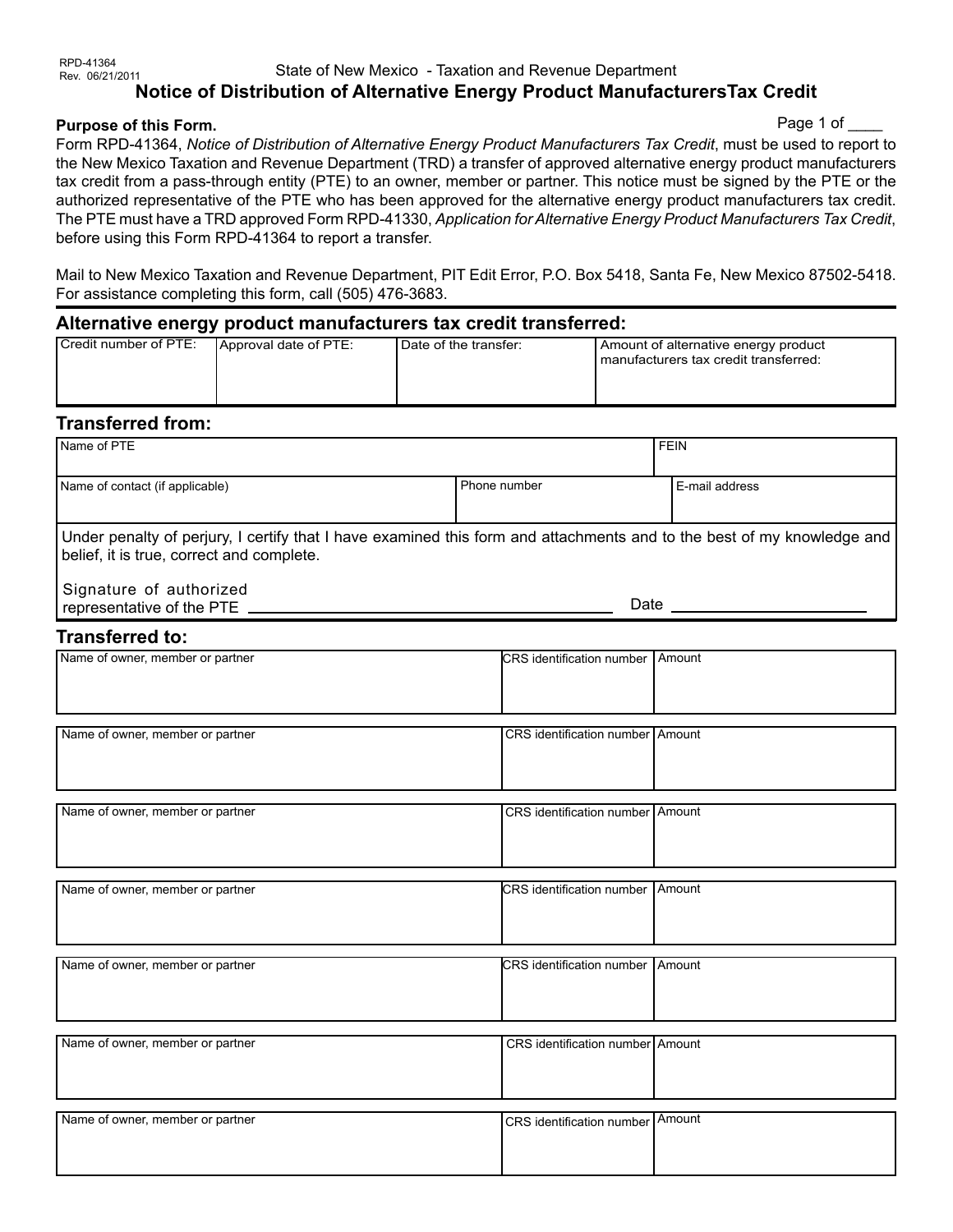#### RPD-41364<br>Rev. 06/21/2011 State of New Mexico - Taxation and Revenue Department **Notice of Distribution of Alternative Energy Product ManufacturersTax Credit**

### **Purpose of this Form.**

#### Page 1 of

Form RPD-41364, *Notice of Distribution of Alternative Energy Product Manufacturers Tax Credit*, must be used to report to the New Mexico Taxation and Revenue Department (TRD) a transfer of approved alternative energy product manufacturers tax credit from a pass-through entity (PTE) to an owner, member or partner. This notice must be signed by the PTE or the authorized representative of the PTE who has been approved for the alternative energy product manufacturers tax credit. The PTE must have a TRD approved Form RPD-41330, *Application for Alternative Energy Product Manufacturers Tax Credit*, before using this Form RPD-41364 to report a transfer.

Mail to New Mexico Taxation and Revenue Department, PIT Edit Error, P.O. Box 5418, Santa Fe, New Mexico 87502-5418. For assistance completing this form, call (505) 476-3683.

### **Alternative energy product manufacturers tax credit transferred:**

| Credit number of PTE: | Approval date of PTE: | Date of the transfer: | Amount of alternative energy product<br>manufacturers tax credit transferred: |
|-----------------------|-----------------------|-----------------------|-------------------------------------------------------------------------------|
|                       |                       |                       |                                                                               |

## **Transferred from:**

| Name of PTE                                                                                                                                                                                    |                                           | <b>FEIN</b>    |  |  |  |
|------------------------------------------------------------------------------------------------------------------------------------------------------------------------------------------------|-------------------------------------------|----------------|--|--|--|
| Name of contact (if applicable)                                                                                                                                                                | Phone number                              | E-mail address |  |  |  |
| Under penalty of perjury, I certify that I have examined this form and attachments and to the best of my knowledge and<br>belief, it is true, correct and complete.<br>Signature of authorized |                                           |                |  |  |  |
|                                                                                                                                                                                                |                                           |                |  |  |  |
| <b>Transferred to:</b>                                                                                                                                                                         |                                           |                |  |  |  |
| Name of owner, member or partner                                                                                                                                                               | CRS identification number   Amount        |                |  |  |  |
| Name of owner, member or partner                                                                                                                                                               | CRS identification number Amount          |                |  |  |  |
| Name of owner, member or partner                                                                                                                                                               | CRS identification number Amount          |                |  |  |  |
| Name of owner, member or partner                                                                                                                                                               | <b>CRS</b> identification number I Amount |                |  |  |  |
| Name of owner, member or partner                                                                                                                                                               | CRS identification number Amount          |                |  |  |  |
|                                                                                                                                                                                                |                                           |                |  |  |  |
| Name of owner, member or partner                                                                                                                                                               | CRS identification number Amount          |                |  |  |  |
| Name of owner, member or partner                                                                                                                                                               | CRS identification number Amount          |                |  |  |  |